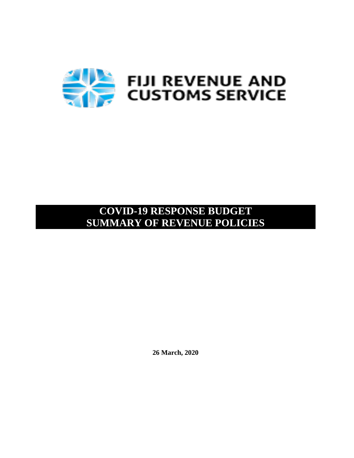

# **COVID-19 RESPONSE BUDGET SUMMARY OF REVENUE POLICIES**

**26 March, 2020**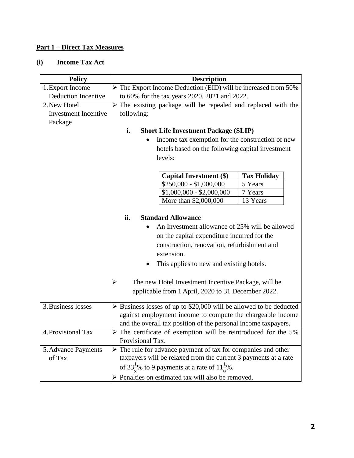#### **Part 1 – Direct Tax Measures**

#### **(i) Income Tax Act**

| <b>Policy</b>               |                                                                                   | <b>Description</b> |                    |  |
|-----------------------------|-----------------------------------------------------------------------------------|--------------------|--------------------|--|
| 1. Export Income            | $\triangleright$ The Export Income Deduction (EID) will be increased from 50%     |                    |                    |  |
| <b>Deduction Incentive</b>  | to 60% for the tax years 2020, 2021 and 2022.                                     |                    |                    |  |
| 2. New Hotel                | $\triangleright$ The existing package will be repealed and replaced with the      |                    |                    |  |
| <b>Investment Incentive</b> | following:                                                                        |                    |                    |  |
| Package                     |                                                                                   |                    |                    |  |
|                             | i.<br><b>Short Life Investment Package (SLIP)</b>                                 |                    |                    |  |
|                             | Income tax exemption for the construction of new                                  |                    |                    |  |
|                             | hotels based on the following capital investment                                  |                    |                    |  |
|                             | levels:                                                                           |                    |                    |  |
|                             |                                                                                   |                    |                    |  |
|                             | <b>Capital Investment (\$)</b>                                                    |                    | <b>Tax Holiday</b> |  |
|                             | $$250,000 - $1,000,000$                                                           |                    | 5 Years            |  |
|                             | $$1,000,000 - $2,000,000$                                                         |                    | 7 Years            |  |
|                             | More than \$2,000,000                                                             |                    | 13 Years           |  |
|                             |                                                                                   |                    |                    |  |
|                             | ii.<br><b>Standard Allowance</b>                                                  |                    |                    |  |
|                             | An Investment allowance of 25% will be allowed                                    |                    |                    |  |
|                             | on the capital expenditure incurred for the                                       |                    |                    |  |
|                             | construction, renovation, refurbishment and                                       |                    |                    |  |
|                             | extension.                                                                        |                    |                    |  |
|                             | This applies to new and existing hotels.                                          |                    |                    |  |
|                             |                                                                                   |                    |                    |  |
|                             | The new Hotel Investment Incentive Package, will be                               |                    |                    |  |
|                             | applicable from 1 April, 2020 to 31 December 2022.                                |                    |                    |  |
|                             |                                                                                   |                    |                    |  |
| 3. Business losses          | $\triangleright$ Business losses of up to \$20,000 will be allowed to be deducted |                    |                    |  |
|                             | against employment income to compute the chargeable income                        |                    |                    |  |
|                             | and the overall tax position of the personal income taxpayers.                    |                    |                    |  |
| 4. Provisional Tax          | The certificate of exemption will be reintroduced for the 5%                      |                    |                    |  |
|                             | Provisional Tax.                                                                  |                    |                    |  |
| 5. Advance Payments         | $\triangleright$ The rule for advance payment of tax for companies and other      |                    |                    |  |
| of Tax                      | taxpayers will be relaxed from the current 3 payments at a rate                   |                    |                    |  |
|                             | of 33 $\frac{1}{2}$ % to 9 payments at a rate of 11 $\frac{1}{2}$ %.              |                    |                    |  |
|                             | > Penalties on estimated tax will also be removed.                                |                    |                    |  |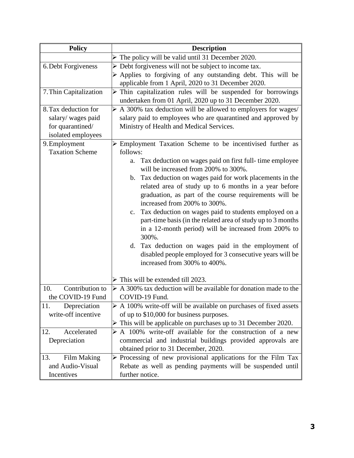| <b>Policy</b>                               | <b>Description</b>                                                                                                                                                                                                                                                                                                                                                                                                                                                                                                                       |  |
|---------------------------------------------|------------------------------------------------------------------------------------------------------------------------------------------------------------------------------------------------------------------------------------------------------------------------------------------------------------------------------------------------------------------------------------------------------------------------------------------------------------------------------------------------------------------------------------------|--|
|                                             | $\triangleright$ The policy will be valid until 31 December 2020.                                                                                                                                                                                                                                                                                                                                                                                                                                                                        |  |
| 6. Debt Forgiveness                         | $\triangleright$ Debt forgiveness will not be subject to income tax.                                                                                                                                                                                                                                                                                                                                                                                                                                                                     |  |
|                                             | $\triangleright$ Applies to forgiving of any outstanding debt. This will be                                                                                                                                                                                                                                                                                                                                                                                                                                                              |  |
|                                             | applicable from 1 April, 2020 to 31 December 2020.                                                                                                                                                                                                                                                                                                                                                                                                                                                                                       |  |
| 7. Thin Capitalization                      | $\triangleright$ Thin capitalization rules will be suspended for borrowings<br>undertaken from 01 April, 2020 up to 31 December 2020.                                                                                                                                                                                                                                                                                                                                                                                                    |  |
| 8. Tax deduction for                        | $\triangleright$ A 300% tax deduction will be allowed to employers for wages/                                                                                                                                                                                                                                                                                                                                                                                                                                                            |  |
| salary/ wages paid                          | salary paid to employees who are quarantined and approved by                                                                                                                                                                                                                                                                                                                                                                                                                                                                             |  |
| for quarantined/                            | Ministry of Health and Medical Services.                                                                                                                                                                                                                                                                                                                                                                                                                                                                                                 |  |
| isolated employees                          |                                                                                                                                                                                                                                                                                                                                                                                                                                                                                                                                          |  |
| 9. Employment                               | $\triangleright$ Employment Taxation Scheme to be incentivised further as                                                                                                                                                                                                                                                                                                                                                                                                                                                                |  |
| <b>Taxation Scheme</b>                      | follows:                                                                                                                                                                                                                                                                                                                                                                                                                                                                                                                                 |  |
|                                             | Tax deduction on wages paid on first full-time employee<br>a.<br>will be increased from 200% to 300%.                                                                                                                                                                                                                                                                                                                                                                                                                                    |  |
|                                             | b. Tax deduction on wages paid for work placements in the<br>related area of study up to 6 months in a year before<br>graduation, as part of the course requirements will be<br>increased from 200% to 300%.<br>Tax deduction on wages paid to students employed on a<br>$c_{\cdot}$<br>part-time basis (in the related area of study up to 3 months<br>in a 12-month period) will be increased from 200% to<br>300%.<br>d. Tax deduction on wages paid in the employment of<br>disabled people employed for 3 consecutive years will be |  |
|                                             | increased from 300% to 400%.                                                                                                                                                                                                                                                                                                                                                                                                                                                                                                             |  |
|                                             | $\triangleright$ This will be extended till 2023.                                                                                                                                                                                                                                                                                                                                                                                                                                                                                        |  |
| Contribution to<br>10.<br>the COVID-19 Fund | $\triangleright$ A 300% tax deduction will be available for donation made to the<br>COVID-19 Fund.                                                                                                                                                                                                                                                                                                                                                                                                                                       |  |
| 11.<br>Depreciation                         | $\triangleright$ A 100% write-off will be available on purchases of fixed assets                                                                                                                                                                                                                                                                                                                                                                                                                                                         |  |
| write-off incentive                         | of up to \$10,000 for business purposes.                                                                                                                                                                                                                                                                                                                                                                                                                                                                                                 |  |
|                                             | $\triangleright$ This will be applicable on purchases up to 31 December 2020.                                                                                                                                                                                                                                                                                                                                                                                                                                                            |  |
| 12.<br>Accelerated                          | $\triangleright$ A 100% write-off available for the construction of a new                                                                                                                                                                                                                                                                                                                                                                                                                                                                |  |
| Depreciation                                | commercial and industrial buildings provided approvals are                                                                                                                                                                                                                                                                                                                                                                                                                                                                               |  |
|                                             | obtained prior to 31 December, 2020.                                                                                                                                                                                                                                                                                                                                                                                                                                                                                                     |  |
| <b>Film Making</b><br>13.                   | $\triangleright$ Processing of new provisional applications for the Film Tax                                                                                                                                                                                                                                                                                                                                                                                                                                                             |  |
| and Audio-Visual                            | Rebate as well as pending payments will be suspended until                                                                                                                                                                                                                                                                                                                                                                                                                                                                               |  |
| Incentives                                  | further notice.                                                                                                                                                                                                                                                                                                                                                                                                                                                                                                                          |  |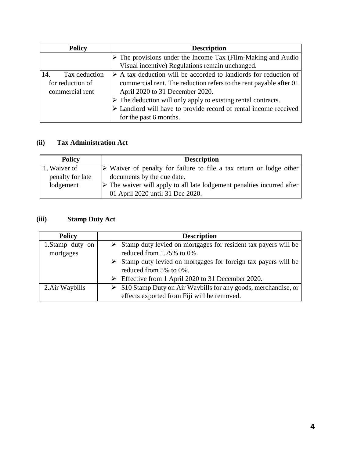| <b>Policy</b>          | <b>Description</b>                                                              |  |
|------------------------|---------------------------------------------------------------------------------|--|
|                        | $\triangleright$ The provisions under the Income Tax (Film-Making and Audio     |  |
|                        | Visual incentive) Regulations remain unchanged.                                 |  |
| Tax deduction<br>  14. | $\triangleright$ A tax deduction will be accorded to landlords for reduction of |  |
| for reduction of       | commercial rent. The reduction refers to the rent payable after 01              |  |
| commercial rent        | April 2020 to 31 December 2020.                                                 |  |
|                        | $\triangleright$ The deduction will only apply to existing rental contracts.    |  |
|                        | $\triangleright$ Landlord will have to provide record of rental income received |  |
|                        | for the past 6 months.                                                          |  |

## **(ii) Tax Administration Act**

| <b>Policy</b>    | <b>Description</b>                                                                    |  |
|------------------|---------------------------------------------------------------------------------------|--|
| 1. Waiver of     | $\triangleright$ Waiver of penalty for failure to file a tax return or lodge other    |  |
| penalty for late | documents by the due date.                                                            |  |
| lodgement        | $\triangleright$ The waiver will apply to all late lodgement penalties incurred after |  |
|                  | 01 April 2020 until 31 Dec 2020.                                                      |  |

### **(iii) Stamp Duty Act**

| <b>Policy</b>                | <b>Description</b>                                                                                           |
|------------------------------|--------------------------------------------------------------------------------------------------------------|
| 1.Stamp duty on<br>mortgages | $\triangleright$ Stamp duty levied on mortgages for resident tax payers will be<br>reduced from 1.75% to 0%. |
|                              | $\triangleright$ Stamp duty levied on mortgages for foreign tax payers will be<br>reduced from 5% to 0%.     |
|                              | $\triangleright$ Effective from 1 April 2020 to 31 December 2020.                                            |
| 2. Air Waybills              | $\triangleright$ \$10 Stamp Duty on Air Waybills for any goods, merchandise, or                              |
|                              | effects exported from Fiji will be removed.                                                                  |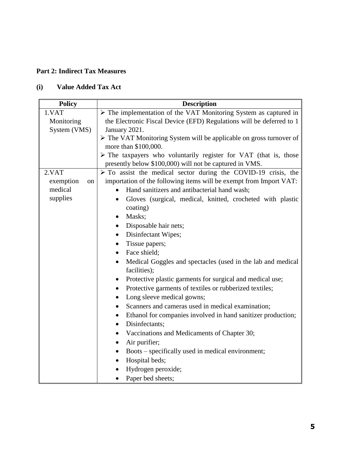#### **Part 2: Indirect Tax Measures**

## **(i) Value Added Tax Act**

| <b>Policy</b>   | <b>Description</b>                                                              |
|-----------------|---------------------------------------------------------------------------------|
| 1.VAT           | $\triangleright$ The implementation of the VAT Monitoring System as captured in |
| Monitoring      | the Electronic Fiscal Device (EFD) Regulations will be deferred to 1            |
| System (VMS)    | January 2021.                                                                   |
|                 | > The VAT Monitoring System will be applicable on gross turnover of             |
|                 | more than \$100,000.                                                            |
|                 | $\triangleright$ The taxpayers who voluntarily register for VAT (that is, those |
|                 | presently below \$100,000) will not be captured in VMS.                         |
| 2.VAT           | $\triangleright$ To assist the medical sector during the COVID-19 crisis, the   |
| exemption<br>on | importation of the following items will be exempt from Import VAT:              |
| medical         | Hand sanitizers and antibacterial hand wash;                                    |
| supplies        | Gloves (surgical, medical, knitted, crocheted with plastic<br>$\bullet$         |
|                 | coating)                                                                        |
|                 | Masks;                                                                          |
|                 | Disposable hair nets;                                                           |
|                 | Disinfectant Wipes;<br>$\bullet$                                                |
|                 | Tissue papers;<br>$\bullet$                                                     |
|                 | Face shield;<br>$\bullet$                                                       |
|                 | Medical Goggles and spectacles (used in the lab and medical                     |
|                 | facilities);                                                                    |
|                 | Protective plastic garments for surgical and medical use;<br>٠                  |
|                 | Protective garments of textiles or rubberized textiles;<br>$\bullet$            |
|                 | Long sleeve medical gowns;<br>$\bullet$                                         |
|                 | Scanners and cameras used in medical examination;                               |
|                 | Ethanol for companies involved in hand sanitizer production;                    |
|                 | Disinfectants;<br>$\bullet$                                                     |
|                 | Vaccinations and Medicaments of Chapter 30;                                     |
|                 | Air purifier;<br>$\bullet$                                                      |
|                 | Boots – specifically used in medical environment;<br>$\bullet$                  |
|                 | Hospital beds;                                                                  |
|                 | Hydrogen peroxide;                                                              |
|                 | Paper bed sheets;                                                               |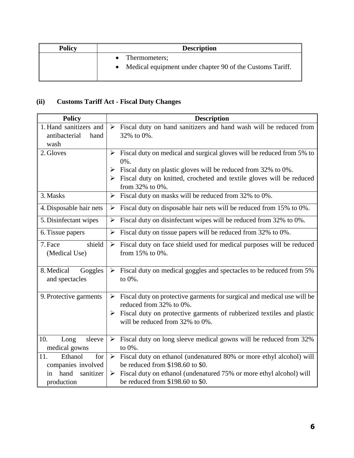| <b>Policy</b> | <b>Description</b>                                                                      |  |
|---------------|-----------------------------------------------------------------------------------------|--|
|               | Thermometers;<br>$\bullet$<br>Medical equipment under chapter 90 of the Customs Tariff. |  |

## **(ii) Customs Tariff Act - Fiscal Duty Changes**

| <b>Policy</b>            | <b>Description</b>                                                                                      |
|--------------------------|---------------------------------------------------------------------------------------------------------|
| 1. Hand sanitizers and   | $\triangleright$ Fiscal duty on hand sanitizers and hand wash will be reduced from                      |
| antibacterial<br>hand    | 32% to 0%.                                                                                              |
| wash                     |                                                                                                         |
| 2. Gloves                | Fiscal duty on medical and surgical gloves will be reduced from 5% to<br>$\blacktriangleright$          |
|                          | 0%.                                                                                                     |
|                          | Fiscal duty on plastic gloves will be reduced from 32% to 0%.<br>➤                                      |
|                          | $\triangleright$ Fiscal duty on knitted, crocheted and textile gloves will be reduced                   |
|                          | from 32% to 0%.                                                                                         |
| 3. Masks                 | Fiscal duty on masks will be reduced from 32% to 0%.<br>$\blacktriangleright$                           |
| 4. Disposable hair nets  | Fiscal duty on disposable hair nets will be reduced from 15% to 0%.<br>➤                                |
| 5. Disinfectant wipes    | Fiscal duty on disinfectant wipes will be reduced from 32% to 0%.<br>➤                                  |
| 6. Tissue papers         | Fiscal duty on tissue papers will be reduced from 32% to 0%.<br>$\blacktriangleright$                   |
| shield<br>7. Face        | Fiscal duty on face shield used for medical purposes will be reduced<br>$\blacktriangleright$           |
| (Medical Use)            | from $15\%$ to $0\%$ .                                                                                  |
| 8. Medical<br>Goggles    | Fiscal duty on medical goggles and spectacles to be reduced from 5%<br>$\blacktriangleright$            |
| and spectacles           | to 0%.                                                                                                  |
|                          |                                                                                                         |
| 9. Protective garments   | Fiscal duty on protective garments for surgical and medical use will be<br>➤<br>reduced from 32% to 0%. |
|                          | Fiscal duty on protective garments of rubberized textiles and plastic<br>➤                              |
|                          | will be reduced from 32% to 0%.                                                                         |
|                          |                                                                                                         |
| 10.<br>sleeve<br>Long    | Fiscal duty on long sleeve medical gowns will be reduced from 32%<br>$\blacktriangleright$              |
| medical gowns            | to 0%.                                                                                                  |
| 11.<br>Ethanol<br>for    | Fiscal duty on ethanol (undenatured 80% or more ethyl alcohol) will<br>$\blacktriangleright$            |
| companies involved       | be reduced from \$198.60 to \$0.                                                                        |
| hand<br>sanitizer<br>in. | Fiscal duty on ethanol (undenatured 75% or more ethyl alcohol) will<br>➤                                |
| production               | be reduced from \$198.60 to \$0.                                                                        |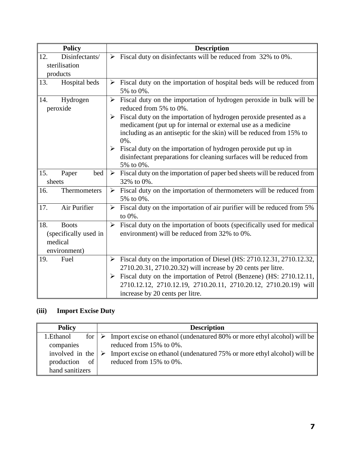| <b>Policy</b>         |                       | <b>Description</b>                                                                                                                    |
|-----------------------|-----------------------|---------------------------------------------------------------------------------------------------------------------------------------|
| Disinfectants/<br>12. | ➤                     | Fiscal duty on disinfectants will be reduced from 32% to 0%.                                                                          |
| sterilisation         |                       |                                                                                                                                       |
| products              |                       |                                                                                                                                       |
| 13.<br>Hospital beds  | $\blacktriangleright$ | Fiscal duty on the importation of hospital beds will be reduced from                                                                  |
|                       |                       | 5% to 0%.                                                                                                                             |
| 14.<br>Hydrogen       | $\blacktriangleright$ | Fiscal duty on the importation of hydrogen peroxide in bulk will be                                                                   |
| peroxide              |                       | reduced from 5% to 0%.                                                                                                                |
|                       | ➤                     | Fiscal duty on the importation of hydrogen peroxide presented as a                                                                    |
|                       |                       | medicament (put up for internal or external use as a medicine                                                                         |
|                       |                       | including as an antiseptic for the skin) will be reduced from 15% to                                                                  |
|                       | ➤                     | $0\%$ .                                                                                                                               |
|                       |                       | Fiscal duty on the importation of hydrogen peroxide put up in<br>disinfectant preparations for cleaning surfaces will be reduced from |
|                       |                       | 5% to 0%.                                                                                                                             |
| 15.<br>bed<br>Paper   | $\blacktriangleright$ | Fiscal duty on the importation of paper bed sheets will be reduced from                                                               |
| sheets                |                       | 32% to 0%.                                                                                                                            |
| Thermometers<br>16.   | ➤                     | Fiscal duty on the importation of thermometers will be reduced from                                                                   |
|                       |                       | 5% to 0%.                                                                                                                             |
| Air Purifier<br>17.   | $\blacktriangleright$ | Fiscal duty on the importation of air purifier will be reduced from 5%                                                                |
|                       |                       | to $0\%$ .                                                                                                                            |
| 18.<br><b>Boots</b>   | $\blacktriangleright$ | Fiscal duty on the importation of boots (specifically used for medical                                                                |
| (specifically used in |                       | environment) will be reduced from 32% to 0%.                                                                                          |
| medical               |                       |                                                                                                                                       |
| environment)          |                       |                                                                                                                                       |
| Fuel<br>19.           | ➤                     | Fiscal duty on the importation of Diesel (HS: 2710.12.31, 2710.12.32,                                                                 |
|                       |                       | 2710.20.31, 2710.20.32) will increase by 20 cents per litre.                                                                          |
|                       | $\blacktriangleright$ | Fiscal duty on the importation of Petrol (Benzene) (HS: 2710.12.11,                                                                   |
|                       |                       | 2710.12.12, 2710.12.19, 2710.20.11, 2710.20.12, 2710.20.19) will                                                                      |
|                       |                       | increase by 20 cents per litre.                                                                                                       |

## **(iii) Import Excise Duty**

| <b>Policy</b>     |   | <b>Description</b>                                                       |
|-------------------|---|--------------------------------------------------------------------------|
| 1. Ethanol<br>for |   | Import excise on ethanol (undenatured 80% or more ethyl alcohol) will be |
| companies         |   | reduced from 15% to 0%.                                                  |
| involved in the   | ➤ | Import excise on ethanol (undenatured 75% or more ethyl alcohol) will be |
| of<br>production  |   | reduced from 15% to 0%.                                                  |
| hand sanitizers   |   |                                                                          |